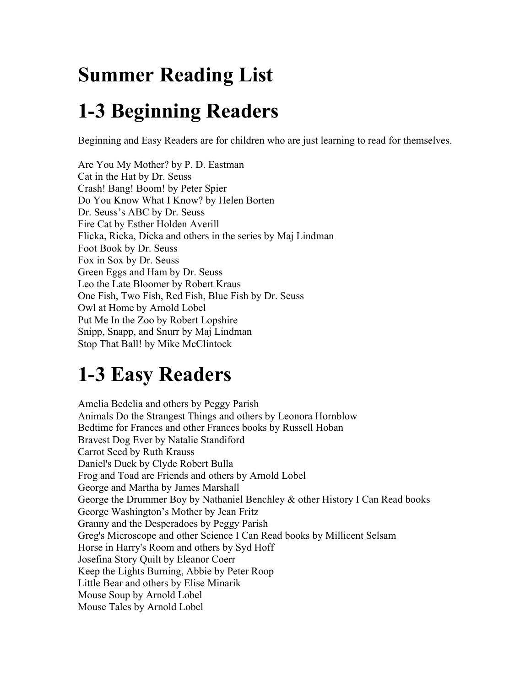## **Summer Reading List**

## **1-3 Beginning Readers**

Beginning and Easy Readers are for children who are just learning to read for themselves.

Cat in the Hat by Dr. Seuss Dr. Seuss's ABC by Dr. Seuss Fire Cat by Esther Holden Averill Foot Book by Dr. Seuss Fox in Sox by Dr. Seuss Green Eggs and Ham by Dr. Seuss Leo the Late Bloomer by Robert Kraus One Fish, Two Fish, Red Fish, Blue Fish by Dr. Seuss Owl at Home by Arnold Lobel Put Me In the Zoo by Robert Lopshire Are You My Mother? by P. D. Eastman Crash! Bang! Boom! by Peter Spier Do You Know What I Know? by Helen Borten Flicka, Ricka, Dicka and others in the series by Maj Lindman Foot Book by Dr. Seuss<br>Fox in Sox by Dr. Seuss<br>Green Eggs and Ham by Dr. Seuss<br>Leo the Late Bloomer by Robert Kraus<br>One Fish, Two Fish, Red Fish, Blue Fish by Dr. Seuss<br>Owl at Home by Arnold Lobel<br>Put Me In the Zoo by Robe Stop That Ball! by Mike McClintock

# **1-3 Easy Readers**

Animals Do the Strangest Things and others by Leonora Hornblow Carrot Seed by Ruth Krauss Daniel's Duck by Clyde Robert Bulla Frog and Toad are Friends and others by Arnold Lobel George and Martha by James Marshall George Washington's Mother by Jean Fritz Greg's Microscope and other Science I Can Read books by Millicent Selsam Horse in Harry's Room and others by Syd Hoff Josefina Story Quilt by Eleanor Coerr Horse in Harry's Room and others by Syd Hoff Mouse Tales by Arnold Lobel Amelia Bedelia and others by Peggy Parish Bedtime for Frances and other Frances books by Russell Hoban Bravest Dog Ever by Natalie Standiford Carrot Seed by Ruth Krauss<br>Daniel's Duck by Clyde Robert Bulla<br>Frog and Toad are Friends and others by Arnold Lobel<br>George and Martha by James Marshall<br>George the Drummer Boy by Nathaniel Benchley & other History I Can Rea Keep the Lights Burning, Abbie by Peter Roop Little Bear and others by Elise Minarik Mouse Soup by Arnold Lobel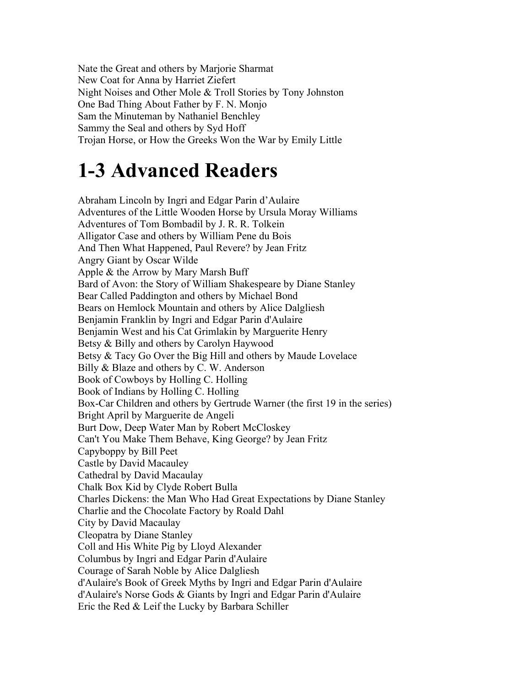Nate the Great and others by Marjorie Sharmat New Coat for Anna by Harriet Ziefert Sammy the Seal and others by Syd Hoff Night Noises and Other Mole & Troll Stories by Tony Johnston One Bad Thing About Father by F. N. Monjo Sam the Minuteman by Nathaniel Benchley Trojan Horse, or How the Greeks Won the War by Emily Little

## **1-3 Advanced Readers**

Abraham Lincoln by Ingri and Edgar Parin d'Aulaire Adventures of the Little Wooden Horse by Ursula Moray Williams Adventures of Tom Bombadil by J. R. R. Tolkein Alligator Case and others by William Pene du Bois And Then What Happened, Paul Revere? by Jean Fritz Angry Giant by Oscar Wilde Apple & the Arrow by Mary Marsh Buff Bard of Avon: the Story of William Shakespeare by Diane Stanley Bear Called Paddington and others by Michael Bond Bears on Hemlock Mountain and others by Alice Dalgliesh Benjamin Franklin by Ingri and Edgar Parin d'Aulaire Benjamin West and his Cat Grimlakin by Marguerite Henry Betsy & Billy and others by Carolyn Haywood Betsy & Tacy Go Over the Big Hill and others by Maude Lovelace Billy & Blaze and others by C. W. Anderson Book of Cowboys by Holling C. Holling Book of Indians by Holling C. Holling Box-Car Children and others by Gertrude Warner (the first 19 in the series) Bright April by Marguerite de Angeli Burt Dow, Deep Water Man by Robert McCloskey Can't You Make Them Behave, King George? by Jean Fritz Capyboppy by Bill Peet Castle by David Macauley Cathedral by David Macaulay Chalk Box Kid by Clyde Robert Bulla Charles Dickens: the Man Who Had Great Expectations by Diane Stanley Charlie and the Chocolate Factory by Roald Dahl City by David Macaulay Cleopatra by Diane Stanley Coll and His White Pig by Lloyd Alexander Columbus by Ingri and Edgar Parin d'Aulaire Courage of Sarah Noble by Alice Dalgliesh d'Aulaire's Book of Greek Myths by Ingri and Edgar Parin d'Aulaire d'Aulaire's Norse Gods & Giants by Ingri and Edgar Parin d'Aulaire Eric the Red & Leif the Lucky by Barbara Schiller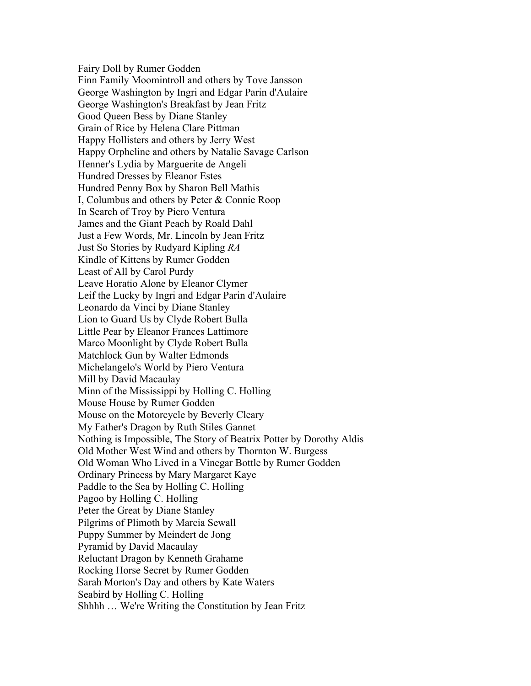Fairy Doll by Rumer Godden Finn Family Moomintroll and others by Tove Jansson George Washington by Ingri and Edgar Parin d'Aulaire George Washington's Breakfast by Jean Fritz Good Queen Bess by Diane Stanley Grain of Rice by Helena Clare Pittman Happy Hollisters and others by Jerry West Happy Orpheline and others by Natalie Savage Carlson Henner's Lydia by Marguerite de Angeli Hundred Dresses by Eleanor Estes Hundred Penny Box by Sharon Bell Mathis I, Columbus and others by Peter & Connie Roop In Search of Troy by Piero Ventura James and the Giant Peach by Roald Dahl Just a Few Words, Mr. Lincoln by Jean Fritz Just So Stories by Rudyard Kipling *RA* Kindle of Kittens by Rumer Godden Least of All by Carol Purdy Leave Horatio Alone by Eleanor Clymer Leif the Lucky by Ingri and Edgar Parin d'Aulaire Leonardo da Vinci by Diane Stanley Lion to Guard Us by Clyde Robert Bulla Little Pear by Eleanor Frances Lattimore Marco Moonlight by Clyde Robert Bulla Matchlock Gun by Walter Edmonds Michelangelo's World by Piero Ventura Mill by David Macaulay Minn of the Mississippi by Holling C. Holling Mouse House by Rumer Godden Mouse on the Motorcycle by Beverly Cleary My Father's Dragon by Ruth Stiles Gannet Nothing is Impossible, The Story of Beatrix Potter by Dorothy Aldis Old Mother West Wind and others by Thornton W. Burgess Old Woman Who Lived in a Vinegar Bottle by Rumer Godden Ordinary Princess by Mary Margaret Kaye Paddle to the Sea by Holling C. Holling Pagoo by Holling C. Holling Peter the Great by Diane Stanley Pilgrims of Plimoth by Marcia Sewall Puppy Summer by Meindert de Jong Pyramid by David Macaulay Reluctant Dragon by Kenneth Grahame Rocking Horse Secret by Rumer Godden Sarah Morton's Day and others by Kate Waters Seabird by Holling C. Holling Shhhh … We're Writing the Constitution by Jean Fritz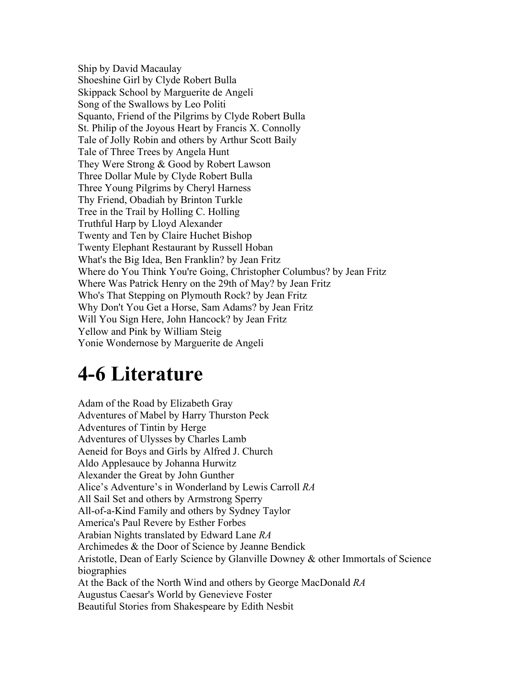Ship by David Macaulay Shoeshine Girl by Clyde Robert Bulla Skippack School by Marguerite de Angeli Song of the Swallows by Leo Politi Squanto, Friend of the Pilgrims by Clyde Robert Bulla St. Philip of the Joyous Heart by Francis X. Connolly Tale of Jolly Robin and others by Arthur Scott Baily Tale of Three Trees by Angela Hunt They Were Strong & Good by Robert Lawson Three Dollar Mule by Clyde Robert Bulla Three Young Pilgrims by Cheryl Harness Thy Friend, Obadiah by Brinton Turkle Tree in the Trail by Holling C. Holling Truthful Harp by Lloyd Alexander Twenty and Ten by Claire Huchet Bishop Twenty Elephant Restaurant by Russell Hoban What's the Big Idea, Ben Franklin? by Jean Fritz Where do You Think You're Going, Christopher Columbus? by Jean Fritz Where Was Patrick Henry on the 29th of May? by Jean Fritz Who's That Stepping on Plymouth Rock? by Jean Fritz Why Don't You Get a Horse, Sam Adams? by Jean Fritz Will You Sign Here, John Hancock? by Jean Fritz Yellow and Pink by William Steig Yonie Wondernose by Marguerite de Angeli

#### **4-6 Literature**

 Alice's Adventure's in Wonderland by Lewis Carroll *RA* America's Paul Revere by Esther Forbes America's Paul Revere by Esther Forbes Arabian Nights translated by Edward Lane *RA* biographies Beautiful Stories from Shakespeare by Edith Nesbit Adam of the Road by Elizabeth Gray Adventures of Mabel by Harry Thurston Peck Adventures of Tintin by Herge Adventures of Ulysses by Charles Lamb Aeneid for Boys and Girls by Alfred J. Church Aldo Applesauce by Johanna Hurwitz Alexander the Great by John Gunther All Sail Set and others by Armstrong Sperry All-of-a-Kind Family and others by Sydney Taylor Archimedes & the Door of Science by Jeanne Bendick Aristotle, Dean of Early Science by Glanville Downey & other Immortals of Science At the Back of the North Wind and others by George MacDonald *RA* Augustus Caesar's World by Genevieve Foster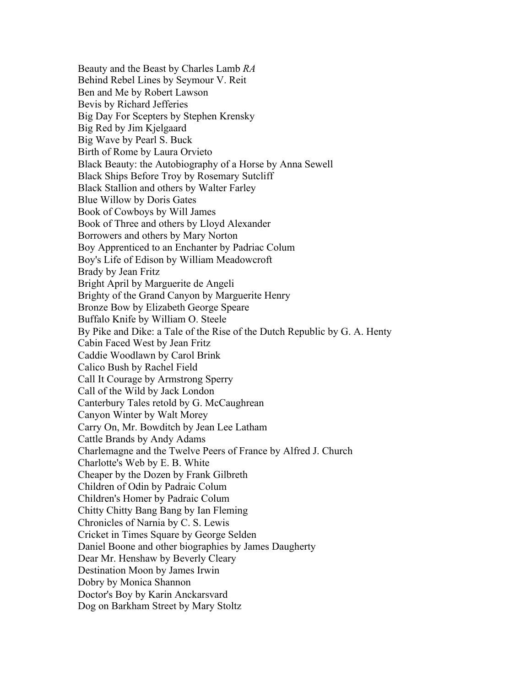Behind Rebel Lines by Seymour V. Reit Ben and Me by Robert Lawson Bevis by Richard Jefferies Black Beauty: the Autobiography of a Horse by Anna Sewell Black Ships Before Troy by Rosemary Sutcliff Black Stallion and others by Walter Farley Black Ships Before Troy by Rosemary Sutcliff Book of Cowboys by Will James Boy Apprenticed to an Enchanter by Padriac Colum Boy's Life of Edison by William Meadowcroft Brady by Jean Fritz Bright April by Marguerite de Angeli Bronze Bow by Elizabeth George Speare Buffalo Knife by William O. Steele Cabin Faced West by Jean Fritz Carry On, Mr. Bowditch by Jean Lee Latham Cattle Brands by Andy Adams Charlotte's Web by E. B. White Children of Odin by Padraic Colum Children's Homer by Padraic Colum Chronicles of Narnia by C. S. Lewis Dog on Barkham Street by Mary Stoltz Beauty and the Beast by Charles Lamb *RA* Big Day For Scepters by Stephen Krensky Big Red by Jim Kjelgaard Big Wave by Pearl S. Buck Birth of Rome by Laura Orvieto Blue Willow by Doris Gates Book of Three and others by Lloyd Alexander Borrowers and others by Mary Norton Brighty of the Grand Canyon by Marguerite Henry By Pike and Dike: a Tale of the Rise of the Dutch Republic by G. A. Henty Caddie Woodlawn by Carol Brink Calico Bush by Rachel Field Call It Courage by Armstrong Sperry Call of the Wild by Jack London Canterbury Tales retold by G. McCaughrean Canyon Winter by Walt Morey Charlemagne and the Twelve Peers of France by Alfred J. Church Cheaper by the Dozen by Frank Gilbreth Chitty Chitty Bang Bang by Ian Fleming Cricket in Times Square by George Selden Daniel Boone and other biographies by James Daugherty Dear Mr. Henshaw by Beverly Cleary Destination Moon by James Irwin Dobry by Monica Shannon Doctor's Boy by Karin Anckarsvard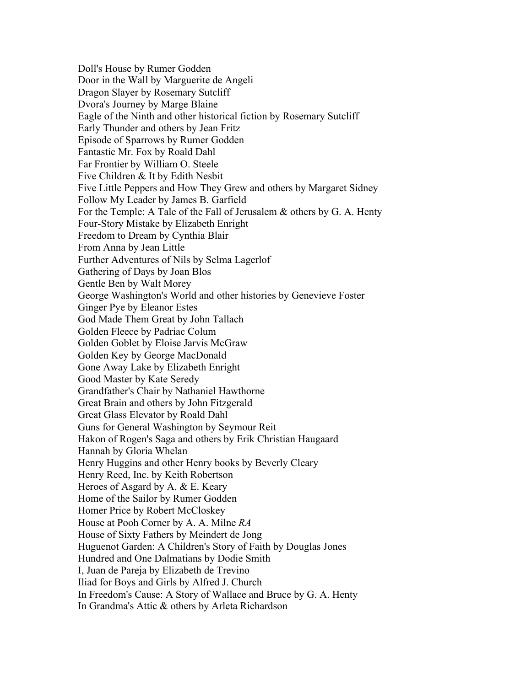Door in the Wall by Marguerite de Angeli Dragon Slaver by Rosemary Sutcliff Dvora's Journey by Marge Blaine Ì Early Thunder and others by Jean Fritz Fantastic Mr. Fox by Roald Dahl Far Frontier by William O. Steele Five Children & It by Edith Nesbit Four-Story Mistake by Elizabeth Enright Freedom to Dream by Cynthia Blair From Anna by Jean Little Ì Gathering of Days by Joan Blos Ginger Pye by Eleanor Estes Golden Fleece by Padriac Colum Gone Away Lake by Elizabeth Enright Good Master by Kate Seredy Grandfather's Chair by Nathaniel Hawthorne Great Brain and others by John Fitzgerald Great Glass Elevator by Roald Dahl Guns for General Washington by Seymour Reit House at Pooh Corner by A. A. Milne *RA* Huguenot Garden: A Children's Story of Faith by Douglas Jones Hundred and One Dalmatians by Dodie Smith Doll's House by Rumer Godden Door in the Wall by Marguerite de Angeli<br>Dragon Slayer by Rosemary Sutcliff<br>Dvora's Journey by Marge Blaine<br>Eagle of the Ninth and other historical fiction by Rosemary Sutcliff<br>Early Thunder and others by Jean Fritz<br>Episod Five Little Peppers and How They Grew and others by Margaret Sidney Follow My Leader by James B. Garfield For the Temple: A Tale of the Fall of Jerusalem & others by G. A. Henty From Anna by Jean Little Further Adventures of Nils by Selma Lagerlof Gathering of Days by Joan Blos Gentle Ben by Walt Morey George Washington's World and other histories by Genevieve Foster God Made Them Great by John Tallach Golden Goblet by Eloise Jarvis McGraw Golden Key by George MacDonald Hakon of Rogen's Saga and others by Erik Christian Haugaard Hannah by Gloria Whelan Henry Huggins and other Henry books by Beverly Cleary Henry Reed, Inc. by Keith Robertson Heroes of Asgard by A. & E. Keary Home of the Sailor by Rumer Godden Homer Price by Robert McCloskey House of Sixty Fathers by Meindert de Jong I, Juan de Pareja by Elizabeth de Trevino Iliad for Boys and Girls by Alfred J. Church In Freedom's Cause: A Story of Wallace and Bruce by G. A. Henty In Grandma's Attic & others by Arleta Richardson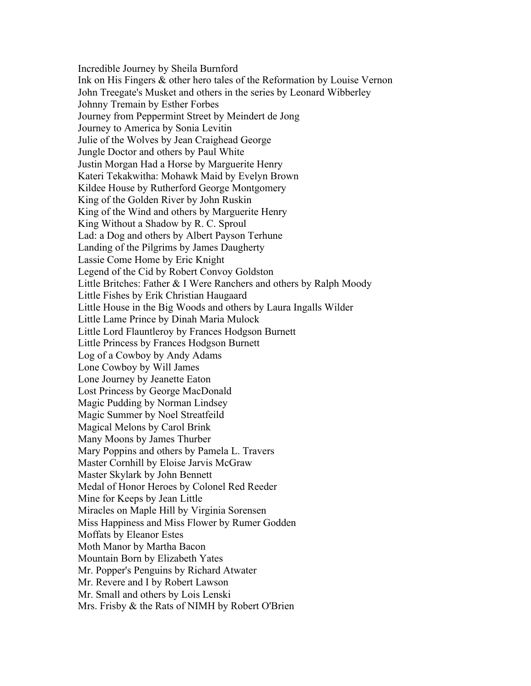Johnny Tremain by Esther Forbes Julie of the Wolves by Jean Craighead George Jungle Doctor and others by Paul White King Without a Shadow by R. C. Sproul Lassie Come Home by Eric Knight Little Lord Flauntleroy by Frances Hodgson Burnett Little Princess by Frances Hodgson Burnett Log of a Cowboy by Andy Adams Lone Cowboy by Will James Lone Journey by Jeanette Eaton Little Princess by Frances Hodgson Burnett Log of a Cowboy by Andy Adams Lone Cowboy by Will James Mary Poppins and others by Pamela L. Travers Master Cornhill by Eloise Jarvis McGraw Master Skylark by John Bennett Mine for Keeps by Jean Little Moffats by Eleanor Estes Mountain Born by Elizabeth Yates Mr. Small and others by Lois Lenski Incredible Journey by Sheila Burnford Ink on His Fingers & other hero tales of the Reformation by Louise Vernon John Treegate's Musket and others in the series by Leonard Wibberley Journey from Peppermint Street by Meindert de Jong Journey to America by Sonia Levitin Justin Morgan Had a Horse by Marguerite Henry Kateri Tekakwitha: Mohawk Maid by Evelyn Brown Kildee House by Rutherford George Montgomery King of the Golden River by John Ruskin King of the Wind and others by Marguerite Henry King Without a Shadow by R. C. Sproul Lad: a Dog and others by Albert Payson Terhune Landing of the Pilgrims by James Daugherty Legend of the Cid by Robert Convoy Goldston Little Britches: Father & I Were Ranchers and others by Ralph Moody Little Fishes by Erik Christian Haugaard Little House in the Big Woods and others by Laura Ingalls Wilder Little Lame Prince by Dinah Maria Mulock Lost Princess by George MacDonald Magic Pudding by Norman Lindsey Magic Summer by Noel Streatfeild Magical Melons by Carol Brink Many Moons by James Thurber Medal of Honor Heroes by Colonel Red Reeder Miracles on Maple Hill by Virginia Sorensen Miss Happiness and Miss Flower by Rumer Godden Moth Manor by Martha Bacon Mr. Popper's Penguins by Richard Atwater Mr. Revere and I by Robert Lawson Mrs. Frisby  $&$  the Rats of NIMH by Robert O'Brien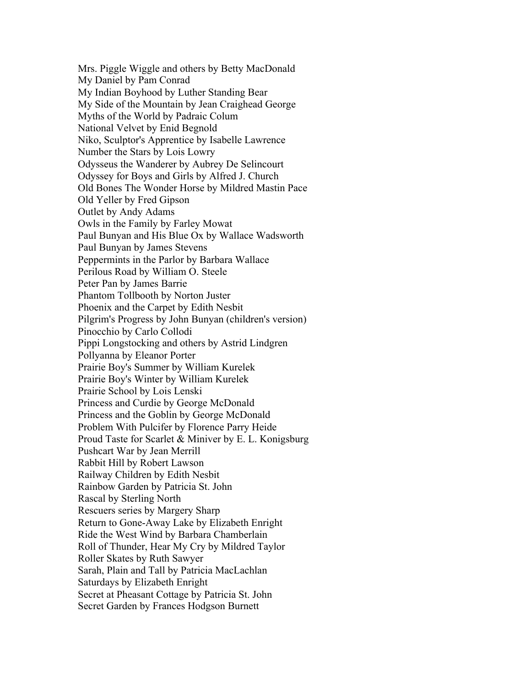My Side of the Mountain by Jean Craighead George Myths of the World by Padraic Colum National Velvet by Enid Begnold Myths of the World by Padraic Colum Niko, Sculptor's Apprentice by Isabelle Lawrence Number the Stars by Lois Lowry Odysseus the Wanderer by Aubrey De Selincourt Old Bones The Wonder Horse by Mildred Mastin Pace Old Yeller by Fred Gipson Outlet by Andy Adams Owls in the Family by Farley Mowat Paul Bunyan by James Stevens Perilous Road by William O. Steele Peter Pan by James Barrie Phoenix and the Carpet by Edith Nesbit Pinocchio by Carlo Collodi Prairie School by Lois Lenski Problem With Pulcifer by Florence Parry Heide Pushcart War by Jean Merrill Railway Children by Edith Nesbit Return to Gone-Away Lake by Elizabeth Enright Ride the West Wind by Barbara Chamberlain Saturdays by Elizabeth Enright Secret Garden by Frances Hodgson Burnett Mrs. Piggle Wiggle and others by Betty MacDonald My Daniel by Pam Conrad My Indian Boyhood by Luther Standing Bear Odyssey for Boys and Girls by Alfred J. Church Paul Bunyan and His Blue Ox by Wallace Wadsworth Paul Bunyan by James Stevens Peppermints in the Parlor by Barbara Wallace Perilous Road by William O. Steele Peter Pan by James Barrie Phantom Tollbooth by Norton Juster Pilgrim's Progress by John Bunyan (children's version) Pippi Longstocking and others by Astrid Lindgren Pollyanna by Eleanor Porter Prairie Boy's Summer by William Kurelek Prairie Boy's Winter by William Kurelek Princess and Curdie by George McDonald Princess and the Goblin by George McDonald Proud Taste for Scarlet & Miniver by E. L. Konigsburg Rabbit Hill by Robert Lawson Rainbow Garden by Patricia St. John Rascal by Sterling North Rescuers series by Margery Sharp Roll of Thunder, Hear My Cry by Mildred Taylor Roller Skates by Ruth Sawyer Sarah, Plain and Tall by Patricia MacLachlan Secret at Pheasant Cottage by Patricia St. John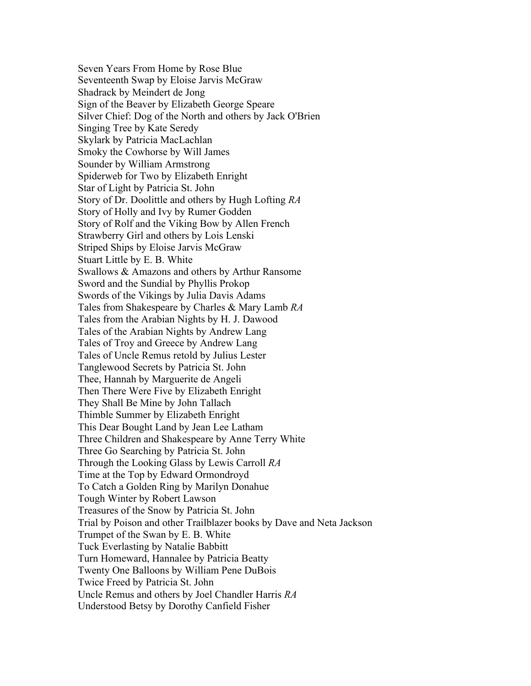Seven Years From Home by Rose Blue Sign of the Beaver by Elizabeth George Speare Smoky the Cowhorse by Will James Sounder by William Armstrong Spiderweb for Two by Elizabeth Enright Star of Light by Patricia St. John Story of Dr. Doolittle and others by Hugh Lofting *RA* Strawberry Girl and others by Lois Lenski Striped Ships by Eloise Jarvis McGraw Stuart Little by E. B. White Swords of the Vikings by Julia Davis Adams Swords of the Vikings by Julia Davis Adams Tales from Shakespeare by Charles & Mary Lamb *RA* Thee, Hannah by Marguerite de Angeli Thimble Summer by Elizabeth Enright This Dear Bought Land by Jean Lee Latham Through the Looking Glass by Lewis Carroll *RA* To Catch a Golden Ring by Marilyn Donahue Tough Winter by Robert Lawson Trumpet of the Swan by E. B. White Tuck Everlasting by Natalie Babbitt Twenty One Balloons by William Pene DuBois Twice Freed by Patricia St. John Uncle Remus and others by Joel Chandler Harris *RA* Seven Years From Home by Rose Blue Seventeenth Swap by Eloise Jarvis McGraw Shadrack by Meindert de Jong Silver Chief: Dog of the North and others by Jack O'Brien Singing Tree by Kate Seredy Skylark by Patricia MacLachlan Story of Holly and Ivy by Rumer Godden Story of Rolf and the Viking Bow by Allen French Strawberry Girl and others by Lois Lenski<br>Striped Ships by Eloise Jarvis McGraw<br>Stuart Little by E. B. White<br>Swallows & Amazons and others by Arthur Ransome<br>Sword and the Sundial by Phyllis Prokop Tales from the Arabian Nights by H. J. Dawood Tales of the Arabian Nights by Andrew Lang Tales of Troy and Greece by Andrew Lang Tales of Uncle Remus retold by Julius Lester Tanglewood Secrets by Patricia St. John Thee, Hannah by Marguerite de Angeli Then There Were Five by Elizabeth Enright They Shall Be Mine by John Tallach Thimble Summer by Elizabeth Enright This Dear Bought Land by Jean Lee Latham Three Children and Shakespeare by Anne Terry White Three Go Searching by Patricia St. John Time at the Top by Edward Ormondroyd Treasures of the Snow by Patricia St. John Trial by Poison and other Trailblazer books by Dave and Neta Jackson Turn Homeward, Hannalee by Patricia Beatty Understood Betsy by Dorothy Canfield Fisher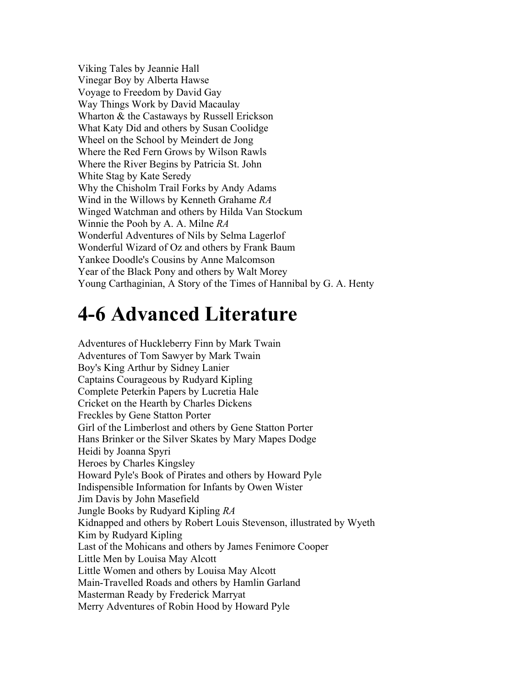Viking Tales by Jeannie Hall Vinegar Boy by Alberta Hawse What Katy Did and others by Susan Coolidge Wheel on the School by Meindert de Jong Why the Chisholm Trail Forks by Andy Adams Why the Chisholm Trail Forks by Andy Adams Wind in the Willows by Kenneth Grahame *RA* Winged Watchman and others by Hilda Van Stockum Winnie the Pooh by A. A. Milne *RA* Winnie the Pooh by A. A. Milne RA Wonderful Adventures of Nils by Selma Lagerlof Voyage to Freedom by David Gay Way Things Work by David Macaulay Wharton & the Castaways by Russell Erickson Where the Red Fern Grows by Wilson Rawls Where the River Begins by Patricia St. John White Stag by Kate Seredy Wonderful Adventures of Nils by Selma Lagerlof Wonderful Wizard of Oz and others by Frank Baum Yankee Doodle's Cousins by Anne Malcomson Year of the Black Pony and others by Walt Morey Young Carthaginian, A Story of the Times of Hannibal by G. A. Henty

#### **4-6 Advanced Literature**

Complete Peterkin Papers by Lucretia Hale Hans Brinker or the Silver Skates by Mary Mapes Dodge<br>Heidi by Joanna Spyri<br>Heroes by Charles Kingsley Heidi by Joanna Spyri Howard Pyle's Book of Pirates and others by Howard Pyle Indispensible Information for Infants by Owen Wister Jungle Books by Rudyard Kipling *RA* Little Men by Louisa May Alcott Little Women and others by Louisa May Alcott Masterman Ready by Frederick Marryat Masterman Ready by Frederick Marryat Merry Adventures of Robin Hood by Howard Pyle Adventures of Huckleberry Finn by Mark Twain Adventures of Tom Sawyer by Mark Twain Boy's King Arthur by Sidney Lanier Captains Courageous by Rudyard Kipling Complete Peterkin Papers by Lucretia Hale Cricket on the Hearth by Charles Dickens Freckles by Gene Statton Porter Girl of the Limberlost and others by Gene Statton Porter Jim Davis by John Masefield Kidnapped and others by Robert Louis Stevenson, illustrated by Wyeth Kim by Rudyard Kipling Last of the Mohicans and others by James Fenimore Cooper Main-Travelled Roads and others by Hamlin Garland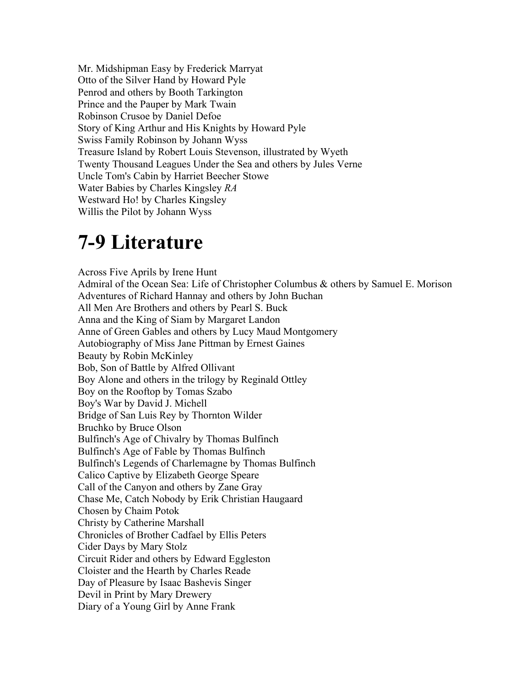Mr. Midshipman Easy by Frederick Marryat Otto of the Silver Hand by Howard Pyle Penrod and others by Booth Tarkington Otto of the Silver Hand by Howard Pyle Robinson Crusoe by Daniel Defoe Story of King Arthur and His Knights by Howard Pyle Swiss Family Robinson by Johann Wyss Twenty Thousand Leagues Under the Sea and others by Jules Verne Uncle Tom's Cabin by Harriet Beecher Stowe Water Babies by Charles Kingsley *RA* Uncle Tom's Cabin by Harriet Beecher Stowe Water Babies by Charles Kingsley RA Prince and the Pauper by Mark Twain Treasure Island by Robert Louis Stevenson, illustrated by Wyeth Westward Ho! by Charles Kingsley Willis the Pilot by Johann Wyss

#### **7-9 Literature**

Across Five Aprils by Irene Hunt All Men Are Brothers and others by Pearl S. Buck Autobiography of Miss Jane Pittman by Ernest Gaines Beauty by Robin McKinley Bob, Son of Battle by Alfred Ollivant Boy's War by David J. Michell Calico Captive by Elizabeth George Speare Christy by Catherine Marshall Cider Days by Mary Stolz Cloister and the Hearth by Charles Reade Admiral of the Ocean Sea: Life of Christopher Columbus & others by Samuel E. Morison Adventures of Richard Hannay and others by John Buchan Anna and the King of Siam by Margaret Landon Anne of Green Gables and others by Lucy Maud Montgomery Boy Alone and others in the trilogy by Reginald Ottley Boy on the Rooftop by Tomas Szabo Bridge of San Luis Rey by Thornton Wilder Bruchko by Bruce Olson Bulfinch's Age of Chivalry by Thomas Bulfinch Bulfinch's Age of Fable by Thomas Bulfinch Bulfinch's Legends of Charlemagne by Thomas Bulfinch Call of the Canyon and others by Zane Gray Chase Me, Catch Nobody by Erik Christian Haugaard Chosen by Chaim Potok Christy by Catherine Marshall Chronicles of Brother Cadfael by Ellis Peters Cider Days by Mary Stolz Circuit Rider and others by Edward Eggleston Day of Pleasure by Isaac Bashevis Singer Devil in Print by Mary Drewery Diary of a Young Girl by Anne Frank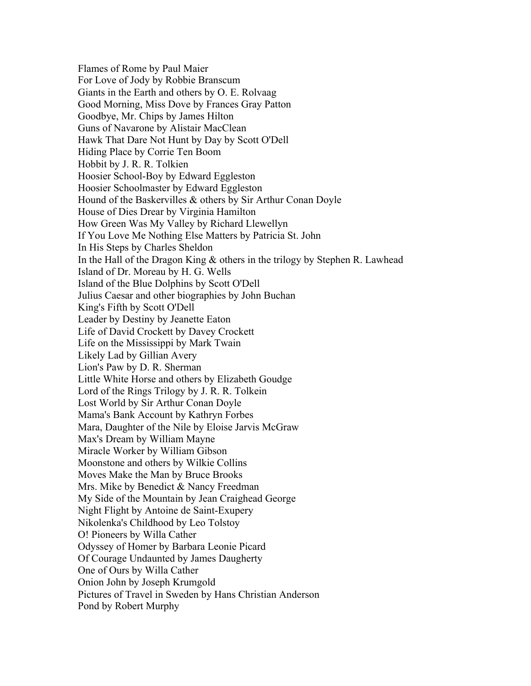For Love of Jody by Robbie Branscum Hawk That Dare Not Hunt by Day by Scott O'Dell Hiding Place by Corrie Ten Boom Hobbit by J. R. R. Tolkien Hiding Place by Corrie Ten Boom Hound of the Baskervilles & others by Sir Arthur Conan Doyle House of Dies Drear by Virginia Hamilton Island of Dr. Moreau by H. G. Wells Island of the Blue Dolphins by Scott O'Dell King's Fifth by Scott O'Dell Life of David Crockett by Davey Crockett Life on the Mississippi by Mark Twain Little White Horse and others by Elizabeth Goudge Lord of the Rings Trilogy by J. R. R. Tolkein Lost World by Sir Arthur Conan Doyle Mama's Bank Account by Kathryn Forbes Max's Dream by William Mayne Moonstone and others by Wilkie Collins Moves Make the Man by Bruce Brooks My Side of the Mountain by Jean Craighead George Night Flight by Antoine de Saint-Exupery Onion John by Joseph Krumgold Flames of Rome by Paul Maier Giants in the Earth and others by O. E. Rolvaag Good Morning, Miss Dove by Frances Gray Patton Goodbye, Mr. Chips by James Hilton Guns of Navarone by Alistair MacClean Hoosier School-Boy by Edward Eggleston Hoosier Schoolmaster by Edward Eggleston How Green Was My Valley by Richard Llewellyn If You Love Me Nothing Else Matters by Patricia St. John In His Steps by Charles Sheldon In the Hall of the Dragon King & others in the trilogy by Stephen R. Lawhead Julius Caesar and other biographies by John Buchan Leader by Destiny by Jeanette Eaton Likely Lad by Gillian Avery Lion's Paw by D. R. Sherman Lost World by Sir Arthur Conan Doyle Mama's Bank Account by Kathryn Forbes Mara, Daughter of the Nile by Eloise Jarvis McGraw Max's Dream by William Mayne Miracle Worker by William Gibson Mrs. Mike by Benedict & Nancy Freedman Nikolenka's Childhood by Leo Tolstoy O! Pioneers by Willa Cather Odyssey of Homer by Barbara Leonie Picard Of Courage Undaunted by James Daugherty One of Ours by Willa Cather Pictures of Travel in Sweden by Hans Christian Anderson Pond by Robert Murphy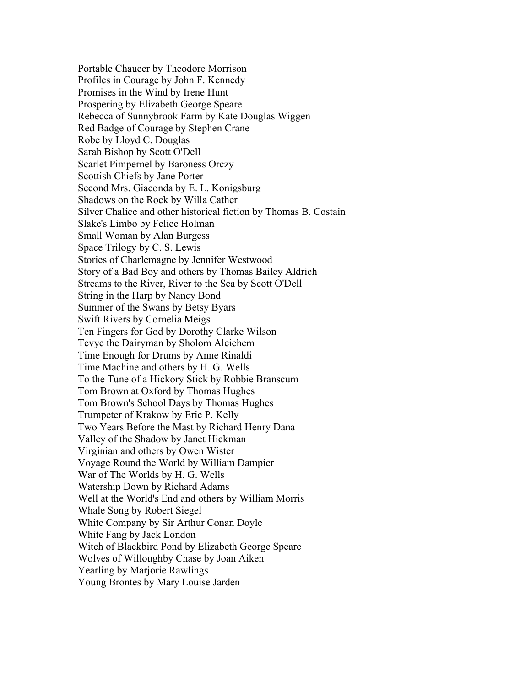Promises in the Wind by Irene Hunt Prospering by Elizabeth George Speare Red Badge of Courage by Stephen Crane<br>Robe by Lloyd C. Douglas<br>Sarah Bishop by Scott O'Dell<br>Scarlet Pimpernel by Baroness Orczy Robe by Lloyd C. Douglas Sarah Bishop by Scott O'Dell Small Woman by Alan Burgess Space Trilogy by C. S. Lewis Streams to the River, River to the Sea by Scott O'Dell String in the Harp by Nancy Bond Summer of the Swans by Betsy Byars Swift Rivers by Cornelia Meigs Tevye the Dairyman by Sholom Aleichem Time Enough for Drums by Anne Rinaldi Time Machine and others by H. G. Wells Tom Brown at Oxford by Thomas Hughes Tom Brown's School Days by Thomas Hughes Trumpeter of Krakow by Eric P. Kelly Two Years Before the Mast by Richard Henry Dana Valley of the Shadow by Janet Hickman War of The Worlds by H. G. Wells Watership Down by Richard Adams Whale Song by Robert Siegel White Company by Sir Arthur Conan Doyle Witch of Blackbird Pond by Elizabeth George Speare Wolves of Willoughby Chase by Joan Aiken **Yearling by Marjorie Rawlings** Portable Chaucer by Theodore Morrison Profiles in Courage by John F. Kennedy Rebecca of Sunnybrook Farm by Kate Douglas Wiggen Scottish Chiefs by Jane Porter Second Mrs. Giaconda by E. L. Konigsburg Shadows on the Rock by Willa Cather Silver Chalice and other historical fiction by Thomas B. Costain Slake's Limbo by Felice Holman Stories of Charlemagne by Jennifer Westwood Story of a Bad Boy and others by Thomas Bailey Aldrich Ten Fingers for God by Dorothy Clarke Wilson Tevye the Dairyman by Sholom Aleichem<br>Time Enough for Drums by Anne Rinaldi<br>Time Machine and others by H. G. Wells<br>To the Tune of a Hickory Stick by Robbie Branscum<br>Tom Brown at Oxford by Thomas Hughes<br>Tom Brown's School D Virginian and others by Owen Wister Voyage Round the World by William Dampier War of The Worlds by H. G. Wells<br>Watership Down by Richard Adams<br>Well at the World's End and others by William Morris<br>Whale Song by Robert Siegel<br>White Company by Sir Arthur Conan Doyle<br>White Fang by Jack London Young Brontes by Mary Louise Jarden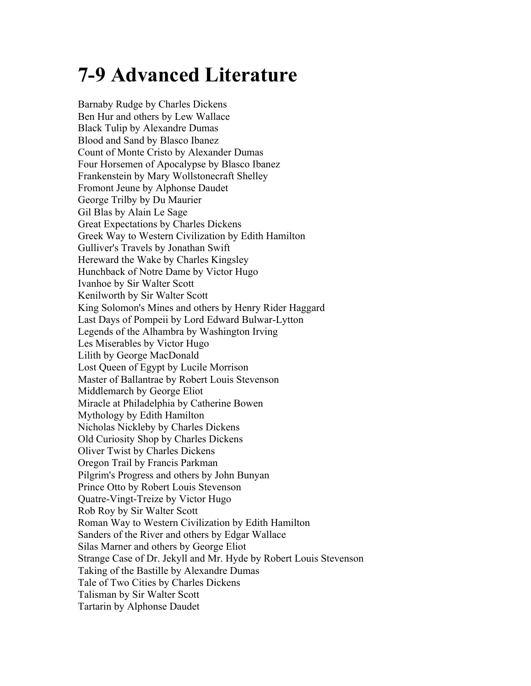# **7-9 Advanced Literature**

Barnaby Rudge by Charles Dickens Ben Hur and others by Lew Wallace **Black Tulip by Alexandre Dumas** Blood and Sand by Blasco Ibanez Count of Monte Cristo by Alexander Dumas Fromont Jeune by Alphonse Daudet George Trilby by Du Maurier Gil Blas by Alain Le Sage **Great Expectations by Charles Dickens** Gulliver's Travels by Jonathan Swift Ivanhoe by Sir Walter Scott Kenilworth by Sir Walter Scott Middlemarch by George Eliot Nicholas Nickleby by Charles Dickens **Oliver Twist by Charles Dickens** Rob Roy by Sir Walter Scott Sanders of the River and others by Edgar Wallace Silas Marner and others by George Eliot Taking of the Bastille by Alexandre Dumas Tale of Two Cities by Charles Dickens Talisman by Sir Walter Scott Tartarin by Alphonse Daudet Tale of Two Cities by Charles Dickens Talisman by Sir Walter Scott Tartarin by Alphonse Daudet Barnaby Rudge by Charles Dickens<br>Ben Hur and others by Lew Wallace<br>Black Tulip by Alexandre Dumas<br>Blood and Sand by Blasco Ibanez<br>Count of Monte Cristo by Alexander Dumas<br>Four Horsemen of Apocalypse by Blasco Ibanez<br>Franke Greek Way to Western Civilization by Edith Hamilton Hereward the Wake by Charles Kingsley Hunchback of Notre Dame by Victor Hugo King Solomon's Mines and others by Henry Rider Haggard Last Days of Pompeii by Lord Edward Bulwar-Lytton Legends of the Alhambra by Washington Irving Les Miserables by Victor Hugo Lilith by George MacDonald Lost Queen of Egypt by Lucile Morrison Master of Ballantrae by Robert Louis Stevenson Miracle at Philadelphia by Catherine Bowen Mythology by Edith Hamilton Nicholas Nickleby by Charles Dickens Old Curiosity Shop by Charles Dickens Oliver Twist by Charles Dickens Oregon Trail by Francis Parkman Pilgrim's Progress and others by John Bunyan Prince Otto by Robert Louis Stevenson Quatre-Vingt-Treize by Victor Hugo Roman Way to Western Civilization by Edith Hamilton Strange Case of Dr. Jekyll and Mr. Hyde by Robert Louis Stevenson